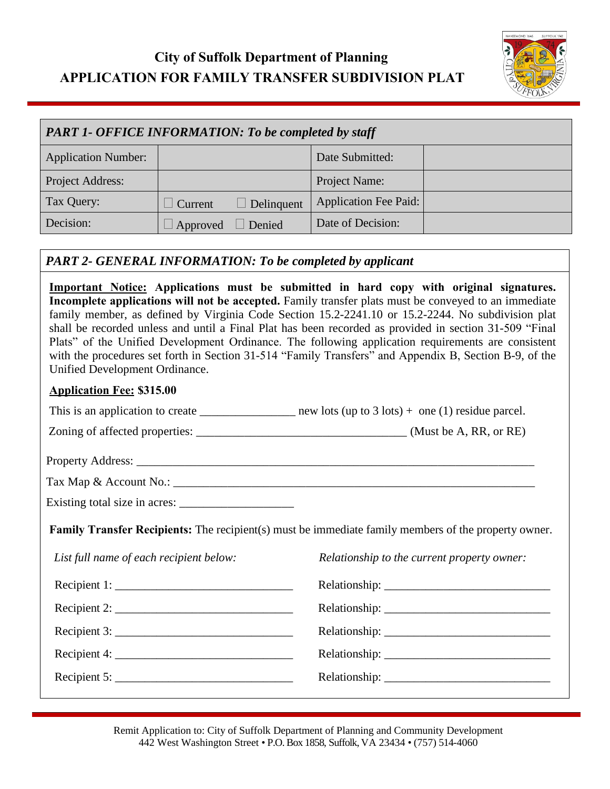# **City of Suffolk Department of Planning APPLICATION FOR FAMILY TRANSFER SUBDIVISION PLAT**



| <b>PART 1- OFFICE INFORMATION: To be completed by staff</b> |          |            |                       |  |  |  |
|-------------------------------------------------------------|----------|------------|-----------------------|--|--|--|
| <b>Application Number:</b>                                  |          |            | Date Submitted:       |  |  |  |
| Project Address:                                            |          |            | Project Name:         |  |  |  |
| Tax Query:                                                  | Current  | Delinquent | Application Fee Paid: |  |  |  |
| Decision:                                                   | Approved | Denied     | Date of Decision:     |  |  |  |

#### *PART 2- GENERAL INFORMATION: To be completed by applicant*

**Important Notice: Applications must be submitted in hard copy with original signatures. Incomplete applications will not be accepted.** Family transfer plats must be conveyed to an immediate family member, as defined by Virginia Code Section 15.2-2241.10 or 15.2-2244. No subdivision plat shall be recorded unless and until a Final Plat has been recorded as provided in section 31-509 "Final Plats" of the Unified Development Ordinance. The following application requirements are consistent with the procedures set forth in Section 31-514 "Family Transfers" and Appendix B, Section B-9, of the Unified Development Ordinance.

#### **Application Fee: \$315.00**

|                                                                 | This is an application to create __________________ new lots (up to $3$ lots) + one (1) residue parcel.     |
|-----------------------------------------------------------------|-------------------------------------------------------------------------------------------------------------|
|                                                                 |                                                                                                             |
|                                                                 |                                                                                                             |
|                                                                 |                                                                                                             |
|                                                                 |                                                                                                             |
|                                                                 | <b>Family Transfer Recipients:</b> The recipient(s) must be immediate family members of the property owner. |
| List full name of each recipient below:                         | <i>Relationship to the current property owner:</i>                                                          |
|                                                                 |                                                                                                             |
| Recipient 1: $\frac{1}{1}$                                      |                                                                                                             |
| Recipient 2: $\frac{1}{2}$                                      |                                                                                                             |
| Recipient 3: $\frac{1}{2}$ Recipient 3:                         |                                                                                                             |
| Recipient 4: $\frac{1}{\sqrt{1-\frac{1}{2}} \cdot \frac{1}{2}}$ |                                                                                                             |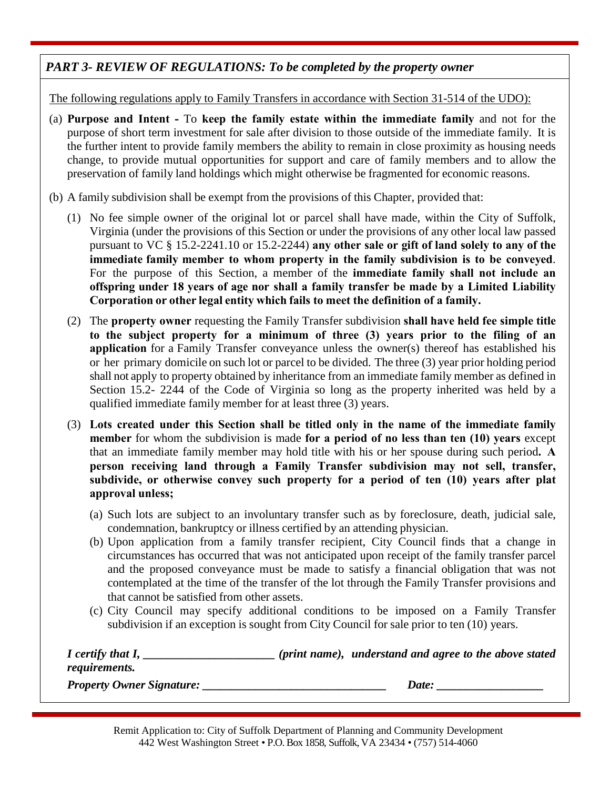### *PART 3- REVIEW OF REGULATIONS: To be completed by the property owner*

The following regulations apply to Family Transfers in accordance with Section 31-514 of the UDO):

- (a) **Purpose and Intent -** To **keep the family estate within the immediate family** and not for the purpose of short term investment for sale after division to those outside of the immediate family. It is the further intent to provide family members the ability to remain in close proximity as housing needs change, to provide mutual opportunities for support and care of family members and to allow the preservation of family land holdings which might otherwise be fragmented for economic reasons.
- (b) A family subdivision shall be exempt from the provisions of this Chapter, provided that:
	- (1) No fee simple owner of the original lot or parcel shall have made, within the City of Suffolk, Virginia (under the provisions of this Section or under the provisions of any other local law passed pursuant to VC § 15.2-2241.10 or 15.2-2244) **any other sale or gift of land solely to any of the immediate family member to whom property in the family subdivision is to be conveyed**. For the purpose of this Section, a member of the **immediate family shall not include an offspring under 18 years of age nor shall a family transfer be made by a Limited Liability Corporation or other legal entity which fails to meet the definition of a family.**
	- (2) The **property owner** requesting the Family Transfer subdivision **shall have held fee simple title to the subject property for a minimum of three (3) years prior to the filing of an application** for a Family Transfer conveyance unless the owner(s) thereof has established his or her primary domicile on such lot or parcel to be divided. The three (3) year prior holding period shall not apply to property obtained by inheritance from an immediate family member as defined in Section 15.2- 2244 of the Code of Virginia so long as the property inherited was held by a qualified immediate family member for at least three (3) years.
	- (3) **Lots created under this Section shall be titled only in the name of the immediate family member** for whom the subdivision is made **for a period of no less than ten (10) years** except that an immediate family member may hold title with his or her spouse during such period**. A person receiving land through a Family Transfer subdivision may not sell, transfer, subdivide, or otherwise convey such property for a period of ten (10) years after plat approval unless;**
		- (a) Such lots are subject to an involuntary transfer such as by foreclosure, death, judicial sale, condemnation, bankruptcy or illness certified by an attending physician.
		- (b) Upon application from a family transfer recipient, City Council finds that a change in circumstances has occurred that was not anticipated upon receipt of the family transfer parcel and the proposed conveyance must be made to satisfy a financial obligation that was not contemplated at the time of the transfer of the lot through the Family Transfer provisions and that cannot be satisfied from other assets.
		- (c) City Council may specify additional conditions to be imposed on a Family Transfer subdivision if an exception is sought from City Council for sale prior to ten (10) years.

| I certify that I,                | (print name), understand and agree to the above stated |
|----------------------------------|--------------------------------------------------------|
| <i>requirements.</i>             |                                                        |
| <b>Property Owner Signature:</b> | Date:                                                  |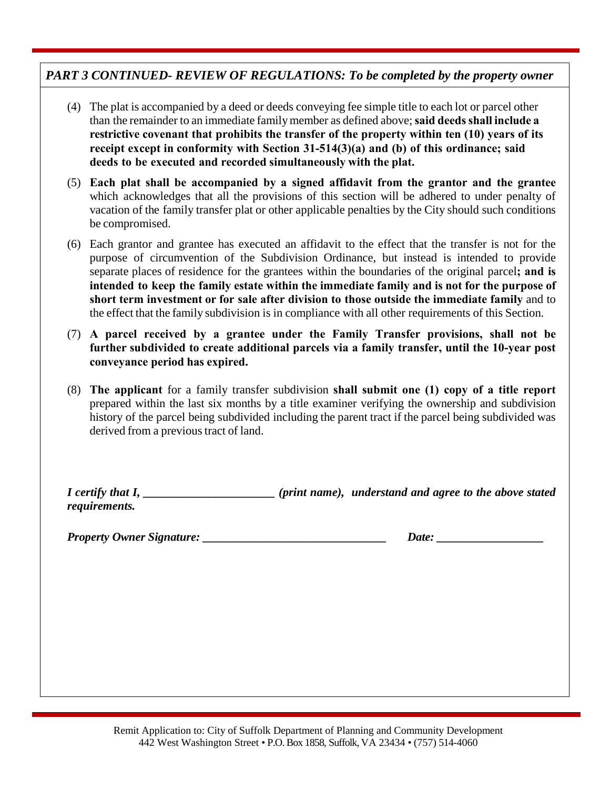#### *PART 3 CONTINUED- REVIEW OF REGULATIONS: To be completed by the property owner*

- (4) The plat is accompanied by a deed or deeds conveying fee simple title to each lot or parcel other than the remainder to an immediate familymember as defined above;**said deedsshall include a restrictive covenant that prohibits the transfer of the property within ten (10) years of its receipt except in conformity with Section 31-514(3)(a) and (b) of this ordinance; said deeds to be executed and recorded simultaneously with the plat.**
- (5) **Each plat shall be accompanied by a signed affidavit from the grantor and the grantee** which acknowledges that all the provisions of this section will be adhered to under penalty of vacation of the family transfer plat or other applicable penalties by the City should such conditions be compromised.
- (6) Each grantor and grantee has executed an affidavit to the effect that the transfer is not for the purpose of circumvention of the Subdivision Ordinance, but instead is intended to provide separate places of residence for the grantees within the boundaries of the original parcel**; and is intended to keep the family estate within the immediate family and is not for the purpose of short term investment or for sale after division to those outside the immediate family** and to the effect that the family subdivision is in compliance with all other requirements of this Section.
- (7) **A parcel received by a grantee under the Family Transfer provisions, shall not be further subdivided to create additional parcels via a family transfer, until the 10-year post conveyance period has expired.**
- (8) **The applicant** for a family transfer subdivision **shall submit one (1) copy of a title report** prepared within the last six months by a title examiner verifying the ownership and subdivision history of the parcel being subdivided including the parent tract if the parcel being subdivided was derived from a previous tract of land.

*I certify that I, \_\_\_\_\_\_\_\_\_\_\_\_\_\_\_\_\_\_\_\_\_\_ (print name), understand and agree to the above stated requirements.* 

*Property Owner Signature: \_\_\_\_\_\_\_\_\_\_\_\_\_\_\_\_\_\_\_\_\_\_\_\_\_\_\_\_\_\_\_ Date: \_\_\_\_\_\_\_\_\_\_\_\_\_\_\_\_\_\_*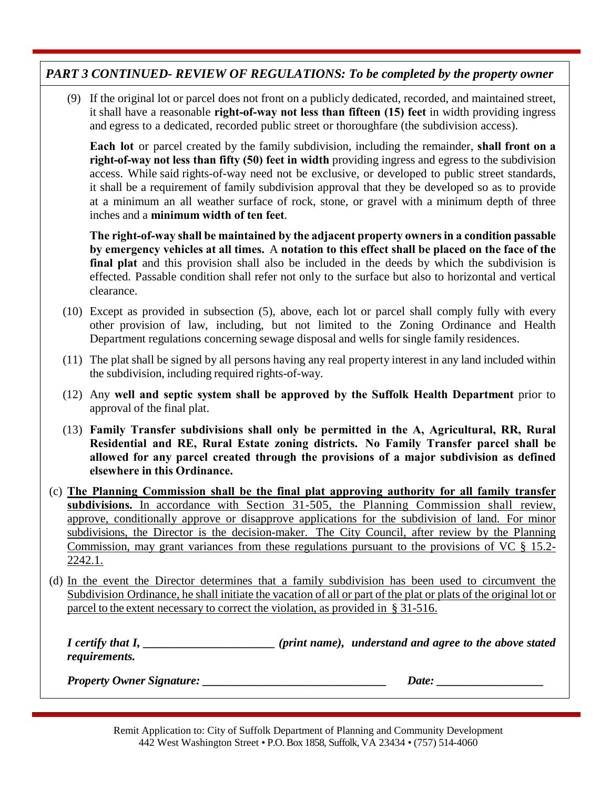# *PART 3 CONTINUED- REVIEW OF REGULATIONS: To be completed by the property owner*

(9) If the original lot or parcel does not front on a publicly dedicated, recorded, and maintained street, it shall have a reasonable **right-of-way not less than fifteen (15) feet** in width providing ingress and egress to a dedicated, recorded public street or thoroughfare (the subdivision access).

**Each lot** or parcel created by the family subdivision, including the remainder, **shall front on a right-of-way not less than fifty (50) feet in width** providing ingress and egress to the subdivision access. While said rights-of-way need not be exclusive, or developed to public street standards, it shall be a requirement of family subdivision approval that they be developed so as to provide at a minimum an all weather surface of rock, stone, or gravel with a minimum depth of three inches and a **minimum width of ten feet**.

**The right-of-way shall be maintained by the adjacent property ownersin a condition passable by emergency vehicles at all times.** A **notation to this effect shall be placed on the face of the final plat** and this provision shall also be included in the deeds by which the subdivision is effected. Passable condition shall refer not only to the surface but also to horizontal and vertical clearance.

- (10) Except as provided in subsection (5), above, each lot or parcel shall comply fully with every other provision of law, including, but not limited to the Zoning Ordinance and Health Department regulations concerning sewage disposal and wells for single family residences.
- (11) The plat shall be signed by all persons having any real property interest in any land included within the subdivision, including required rights-of-way.
- (12) Any **well and septic system shall be approved by the Suffolk Health Department** prior to approval of the final plat.
- (13) **Family Transfer subdivisions shall only be permitted in the A, Agricultural, RR, Rural Residential and RE, Rural Estate zoning districts. No Family Transfer parcel shall be allowed for any parcel created through the provisions of a major subdivision as defined elsewhere in this Ordinance.**
- (c) **The Planning Commission shall be the final plat approving authority for all family transfer** subdivisions. In accordance with Section 31-505, the Planning Commission shall review, approve, conditionally approve or disapprove applications for the subdivision of land. For minor subdivisions, the Director is the decision-maker. The City Council, after review by the Planning Commission, may grant variances from these regulations pursuant to the provisions of VC § 15.2- 2242.1.
- (d) In the event the Director determines that a family subdivision has been used to circumvent the Subdivision Ordinance, he shall initiate the vacation of all or part of the plat or plats of the original lot or parcel to the extent necessary to correct the violation, as provided in § 31-516.

*I certify that I, \_\_\_\_\_\_\_\_\_\_\_\_\_\_\_\_\_\_\_\_\_\_ (print name), understand and agree to the above stated requirements.* 

*Property Owner Signature: \_\_\_\_\_\_\_\_\_\_\_\_\_\_\_\_\_\_\_\_\_\_\_\_\_\_\_\_\_\_\_ Date: \_\_\_\_\_\_\_\_\_\_\_\_\_\_\_\_\_\_*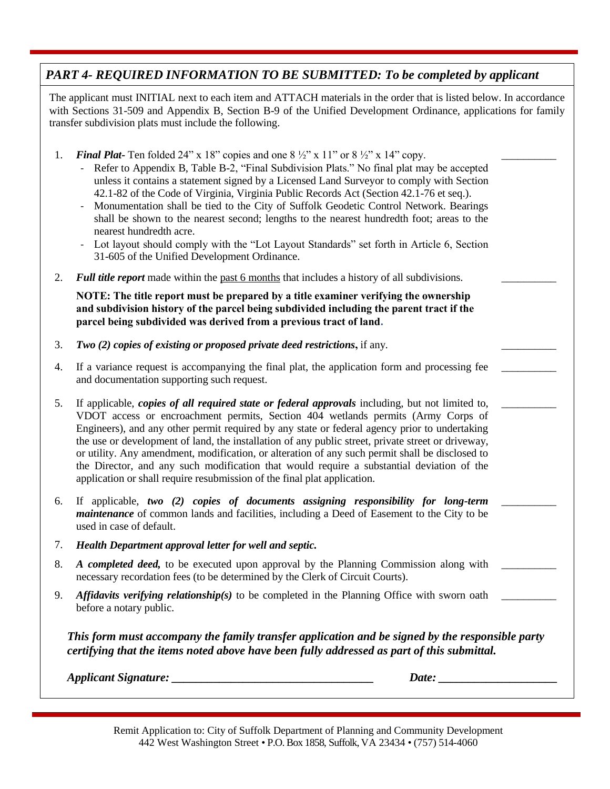# *PART 4- REQUIRED INFORMATION TO BE SUBMITTED: To be completed by applicant*

The applicant must INITIAL next to each item and ATTACH materials in the order that is listed below. In accordance with Sections 31-509 and Appendix B, Section B-9 of the Unified Development Ordinance, applications for family transfer subdivision plats must include the following.

- 1. **Final Plat-** Ten folded 24" x 18" copies and one  $8\frac{1}{2}$ " x 11" or  $8\frac{1}{2}$ " x 14" copy.
	- Refer to Appendix B, Table B-2, "Final Subdivision Plats." No final plat may be accepted unless it contains a statement signed by a Licensed Land Surveyor to comply with Section 42.1-82 of the Code of Virginia, Virginia Public Records Act (Section 42.1-76 et seq.).
	- Monumentation shall be tied to the City of Suffolk Geodetic Control Network. Bearings shall be shown to the nearest second; lengths to the nearest hundredth foot; areas to the nearest hundredth acre.
	- Lot layout should comply with the "Lot Layout Standards" set forth in Article 6, Section 31-605 of the Unified Development Ordinance.
- 2. *Full title report* made within the past 6 months that includes a history of all subdivisions.

**NOTE: The title report must be prepared by a title examiner verifying the ownership and subdivision history of the parcel being subdivided including the parent tract if the parcel being subdivided was derived from a previous tract of land.**

- 3. *Two (2) copies of existing or proposed private deed restrictions,* if any.
- 4. If a variance request is accompanying the final plat, the application form and processing fee and documentation supporting such request.
- 5. If applicable, *copies of all required state or federal approvals* including, but not limited to, VDOT access or encroachment permits, Section 404 wetlands permits (Army Corps of Engineers), and any other permit required by any state or federal agency prior to undertaking the use or development of land, the installation of any public street, private street or driveway, or utility. Any amendment, modification, or alteration of any such permit shall be disclosed to the Director, and any such modification that would require a substantial deviation of the application or shall require resubmission of the final plat application.
- 6. If applicable, *two (2) copies of documents assigning responsibility for long-term maintenance* of common lands and facilities, including a Deed of Easement to the City to be used in case of default.
- 7. *Health Department approval letter for well and septic.*
- 8. *A completed deed,* to be executed upon approval by the Planning Commission along with necessary recordation fees (to be determined by the Clerk of Circuit Courts).
- 9. *Affidavits verifying relationship(s)* to be completed in the Planning Office with sworn oath before a notary public.

*This form must accompany the family transfer application and be signed by the responsible party certifying that the items noted above have been fully addressed as part of this submittal.*

*Applicant Signature:*  $\qquad \qquad \qquad$  Date:  $\qquad \qquad$ 

\_\_\_\_\_\_\_\_\_\_

\_\_\_\_\_\_\_\_\_\_

\_\_\_\_\_\_\_\_\_\_

\_\_\_\_\_\_\_\_\_\_

\_\_\_\_\_\_\_\_\_\_

\_\_\_\_\_\_\_\_\_\_

\_\_\_\_\_\_\_\_\_\_